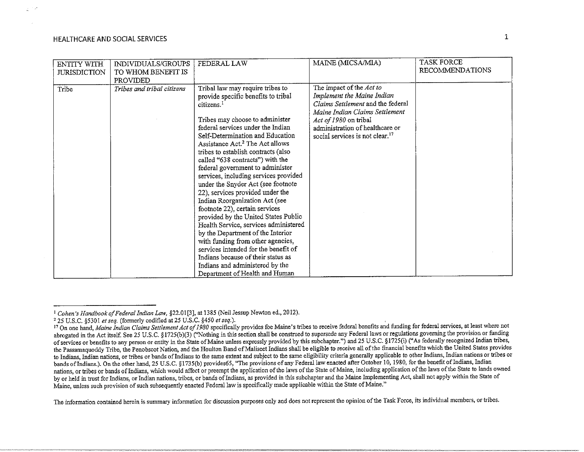in an

| <b>ENTITY WITH</b><br><b>JURISDICTION</b> | INDIVIDUALS/GROUPS<br>TO WHOM BENEFIT IS<br>PROVIDED | FEDERAL LAW                                                                                                                                                                                                                                                                                                                                                                                                                                                                                                                                                                                                                                                                                                                                                                                                                                    | MAINE (MICSA/MIA)                                                                                                                                                                                                                        | <b>TASK FORCE</b><br><b>RECOMMENDATIONS</b> |
|-------------------------------------------|------------------------------------------------------|------------------------------------------------------------------------------------------------------------------------------------------------------------------------------------------------------------------------------------------------------------------------------------------------------------------------------------------------------------------------------------------------------------------------------------------------------------------------------------------------------------------------------------------------------------------------------------------------------------------------------------------------------------------------------------------------------------------------------------------------------------------------------------------------------------------------------------------------|------------------------------------------------------------------------------------------------------------------------------------------------------------------------------------------------------------------------------------------|---------------------------------------------|
| Tribe                                     | Tribes and tribal citizens                           | Tribal law may require tribes to<br>provide specific benefits to tribal<br>citizens. <sup>1</sup><br>Tribes may choose to administer<br>federal services under the Indian<br>Self-Determination and Education<br>Assistance Act. <sup>2</sup> The Act allows<br>tribes to establish contracts (also<br>called "638 contracts") with the<br>federal government to administer<br>services, including services provided<br>under the Snyder Act (see footnote<br>22), services provided under the<br>Indian Reorganization Act (see<br>footnote 22), certain services<br>provided by the United States Public<br>Health Service, services administered<br>by the Department of the Interior<br>with funding from other agencies,<br>services intended for the benefit of<br>Indians because of their status as<br>Indians and administered by the | The impact of the Act to<br>Implement the Maine Indian<br>Claims Settlement and the federal<br>Maine Indian Claims Settlement<br>Act of 1980 on tribal<br>administration of healthcare or<br>social services is not clear. <sup>17</sup> |                                             |
|                                           |                                                      | Department of Health and Human                                                                                                                                                                                                                                                                                                                                                                                                                                                                                                                                                                                                                                                                                                                                                                                                                 |                                                                                                                                                                                                                                          |                                             |

<sup>1</sup> *Cohen's Handbook of Federal Indian Law,* §22.01[3), at 1385 (Neil Jessup *Newton* ed., 2012).

<sup>&</sup>lt;sup>17</sup> On one hand, Maine Indian Claims Settlement Act of 1980 specifically provides foe Maine's tribes to receive federal benefits and funding for federal services, at least where not abrogated in the Act itself See 25 U.S.C. § 1725(b)(3) ("Nothing in this section shall be construed to supersede any Federal laws or regulations governing the provision or funding of services or benefits to any person or entity in the State of Maine unless expressly provided by this subchapter.") and 25 U.S.C. §1725(i) ("As federally recognized Indian tribes, the Passamaquoddy Tribe, the Penobscot Nation, and the Houlton Band of Maliseet Indians shall be eligible to receive all of the financial benefits which the United States provides to Indians, Indian nations, or tribes or bands ofindians to the same extent and subject to the same eligibility criteria generally applicable to other Indians, Indian nations or tribes or bands of Indians.). On the other hand, 25 U.S.C. §1735(b) provides65, "The provisions of any Federal law enacted after October 10, 1980, for the benefit of Indians, Indian nations, or tribes or bands of Indians, which would affect or preempt the application of the laws of the State of Maine, including application of the laws of the State to lands owned by or held in trust for Indians, or Indian nations, tribes, or bands of Indians, as provided in this subchapter and the Maine Implementing Act, shall not apply within the State of Maine, unless such provision of such subsequently enacted Federal law is specifically made applicable within the State of Maine."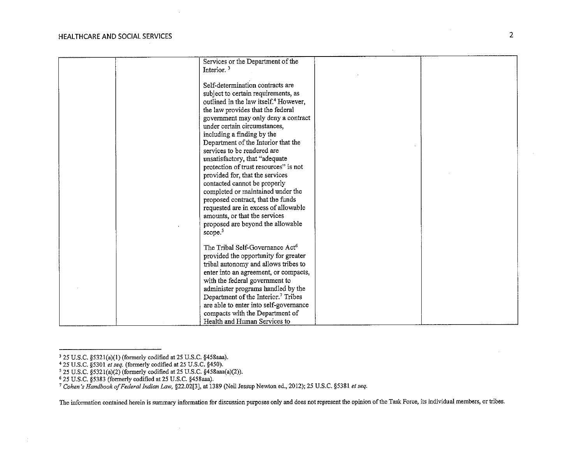**Contract** 

| Services or the Department of the                 |  |
|---------------------------------------------------|--|
|                                                   |  |
| Interior. $3$                                     |  |
| Self-determination contracts are                  |  |
|                                                   |  |
| subject to certain requirements, as               |  |
| outlined in the law itself. <sup>4</sup> However, |  |
| the law provides that the federal                 |  |
| government may only deny a contract               |  |
| under certain circumstances,                      |  |
| including a finding by the                        |  |
| Department of the Interior that the               |  |
| services to be rendered are                       |  |
| unsatisfactory, that "adequate                    |  |
| protection of trust resources" is not             |  |
| provided for, that the services                   |  |
| contacted cannot be properly                      |  |
| completed or maintained under the                 |  |
| proposed contract, that the funds                 |  |
|                                                   |  |
| requested are in excess of allowable              |  |
| amounts, or that the services                     |  |
| proposed are beyond the allowable                 |  |
| scope. <sup>5</sup>                               |  |
|                                                   |  |
| The Tribal Self-Governance Act <sup>6</sup>       |  |
| provided the opportunity for greater              |  |
| tribal autonomy and allows tribes to              |  |
| enter into an agreement, or compacts,             |  |
| with the federal government to                    |  |
| administer programs handled by the                |  |
| Department of the Interior. <sup>7</sup> Tribes   |  |
| are able to enter into self-governance            |  |
| compacts with the Department of                   |  |
| Health and Human Services to                      |  |

*5* 25 U.S.C. §5321(a)(2) (formerly codified at 25 U.S.C. §458aaa(a)(2)).

 $\sim$ 

 $\mathbb{C}$ 

<sup>3 25</sup> U.S.C. §5321(a)(l) (formerly codified at 25 U.S.C. §458aaa).

<sup>4</sup> 25 U.S.C. §5301 *et seq.* (formerly codified at 25 U.S.C. §450).

<sup>6</sup> 25 U.S.C. §5383 (formerly codified at 25 U.S.C. §458aaa).

<sup>7</sup>*Cohen's Handbook of Federal Indion* Law, §22.02[3], at 1389 (Neil Jessup Newton ed., 2012); 25 U.S.C. §5381 *et seq.*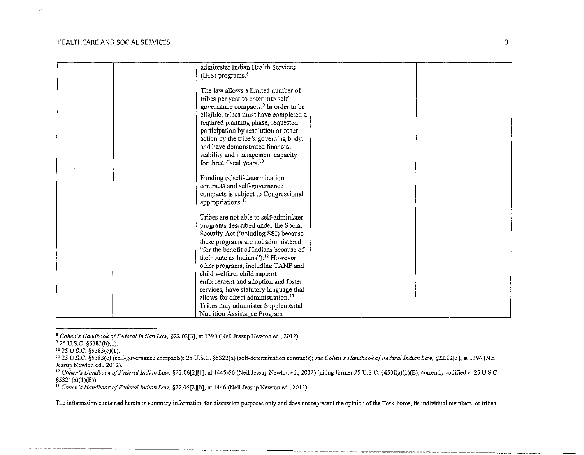$\sqrt{s}$ 

| administer Indian Health Services                |  |
|--------------------------------------------------|--|
| $(IIIS)$ programs. $8$                           |  |
|                                                  |  |
| The law allows a limited number of               |  |
| tribes per year to enter into self-              |  |
| governance compacts. <sup>9</sup> In order to be |  |
| eligible, tribes must have completed a           |  |
|                                                  |  |
| required planning phase, requested               |  |
| participation by resolution or other             |  |
| action by the tribe's governing body,            |  |
| and have demonstrated financial                  |  |
| stability and management capacity                |  |
| for three fiscal years. <sup>10</sup>            |  |
|                                                  |  |
| Funding of self-determination                    |  |
| contracts and self-governance                    |  |
| compacts is subject to Congressional             |  |
|                                                  |  |
| appropriations. <sup>11</sup>                    |  |
| Tribes are not able to self-administer           |  |
|                                                  |  |
| programs described under the Social              |  |
| Security Act (including SSI) because             |  |
| these programs are not administered              |  |
| "for the benefit of Indians because of           |  |
| their state as Indians"). <sup>12</sup> However  |  |
| other programs, including TANF and               |  |
| child welfare, child support                     |  |
| enforcement and adoption and foster              |  |
| services, have statutory language that           |  |
| allows for direct administration. <sup>13</sup>  |  |
|                                                  |  |
| Tribes may administer Supplemental               |  |
| Nutrition Assistance Program                     |  |

<sup>8</sup>*Cohen's Handbook of Federal Indian Law,* §22.02[3], at 1390 (Neil Jessup Newton ed., 2012).

 $9$  25 U.S.C. §5383(b)(1).

 $^{10}$  25 U.S.C. §5383(c)(1).

II 25 U.S.C. §5383(e) (self-governance compacts); 25 U.S.C. §5322(a) (self-determination contracts); *see Cohen's Handbook of Federal Indicm Law,* §22.02[5], at 1394 (Neil **Jessup Newton ed., 2012),** 

<sup>&</sup>lt;sup>12</sup> Cohen's Handbook of Federal Indian Law, §22.06[2][b], at 1445-56 (Neil Jessup Newton ed., 2012) (citing former 25 U.S.C. §450f(a)(1)(E), currently codified at 25 U.S.C. §532l(a)(l)(E)).

<sup>13</sup>*Cohen's Handbook of Federal Indian Law,* §22.06[2J[b], at 1446 (Neil Jessup Newton ed., 2012).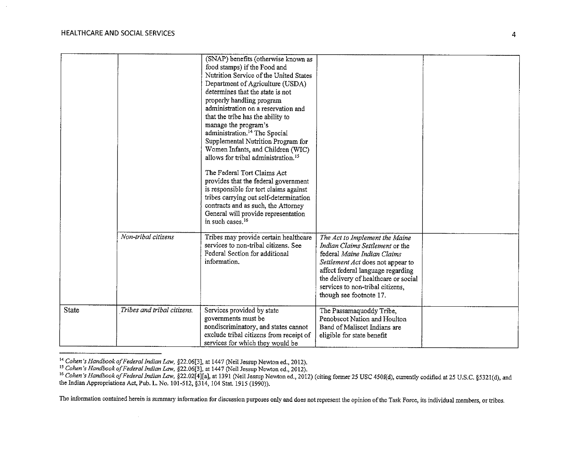|       |                             | (SNAP) benefits (otherwise known as                                 |                                      |  |
|-------|-----------------------------|---------------------------------------------------------------------|--------------------------------------|--|
|       |                             | food stamps) if the Food and                                        |                                      |  |
|       |                             | Nutrition Service of the United States                              |                                      |  |
|       |                             | Department of Agriculture (USDA)                                    |                                      |  |
|       |                             | determines that the state is not                                    |                                      |  |
|       |                             | properly handling program                                           |                                      |  |
|       |                             | administration on a reservation and                                 |                                      |  |
|       |                             | that the tribe has the ability to                                   |                                      |  |
|       |                             | manage the program's                                                |                                      |  |
|       |                             | administration. <sup>14</sup> The Special                           |                                      |  |
|       |                             | Supplemental Nutrition Program for                                  |                                      |  |
|       |                             | Women Infants, and Children (WIC)                                   |                                      |  |
|       |                             | allows for tribal administration. <sup>15</sup>                     |                                      |  |
|       |                             | The Federal Tort Claims Act                                         |                                      |  |
|       |                             | provides that the federal government                                |                                      |  |
|       |                             |                                                                     |                                      |  |
|       |                             | is responsible for tort claims against                              |                                      |  |
|       |                             | tribes carrying out self-determination                              |                                      |  |
|       |                             | contracts and as such, the Attorney                                 |                                      |  |
|       |                             | General will provide representation<br>in such cases. <sup>16</sup> |                                      |  |
|       |                             |                                                                     |                                      |  |
|       | Non-tribal citizens         | Tribes may provide certain healthcare                               | The Act to Implement the Maine       |  |
|       |                             | services to non-tribal citizens. See                                | Indian Claims Settlement or the      |  |
|       |                             | Federal Section for additional                                      | federal Maine Indian Claims          |  |
|       |                             | information.                                                        | Settlement Act does not appear to    |  |
|       |                             |                                                                     | affect federal language regarding    |  |
|       |                             |                                                                     | the delivery of healthcare or social |  |
|       |                             |                                                                     | services to non-tribal citizens,     |  |
|       |                             |                                                                     | though see footnote 17.              |  |
|       |                             |                                                                     |                                      |  |
| State | Tribes and tribal citizens. | Services provided by state                                          | The Passamaquoddy Tribe,             |  |
|       |                             | governments must be                                                 | Penobscot Nation and Houlton         |  |
|       |                             | nondiscriminatory, and states cannot                                | Band of Maliseet Indians are         |  |
|       |                             | exclude tribal citizens from receipt of                             | eligible for state benefit           |  |
|       |                             | services for which they would be                                    |                                      |  |

<sup>&</sup>lt;sup>14</sup> Cohen's Handbook of Federal Indian Law, §22.06[3], at 1447 (Neil Jessup Newton ed., 2012).<br><sup>15</sup> Cohen's Handbook of Federal Indian Law, §22.06[3], at 1447 (Neil Jessup Newton ed., 2012).<br><sup>16</sup> Cohen's Handbook of Feder the Indian Appropriations Act, Pub. L. No. 101-512, §314, 104 Stat. 1915 (1990)).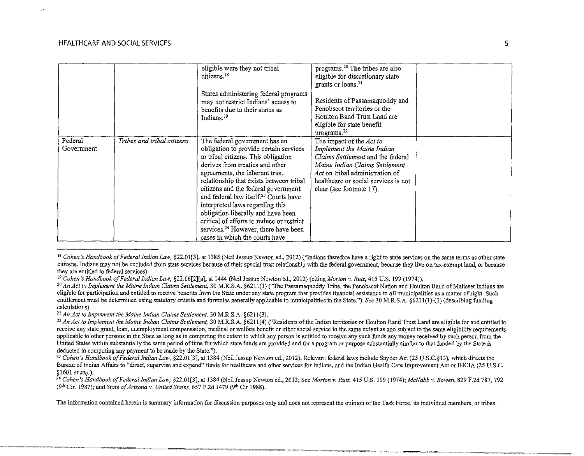$\mathbb{R}^3$ 

|                       |                            | eligible were they not tribal<br>citizens. <sup>18</sup><br>States administering federal programs<br>may not restrict Indians' access to<br>benefits due to their status as<br>Indians. <sup>19</sup>                                                                                                                                                                                                                                                                                                                                  | programs. <sup>20</sup> The tribes are also<br>eligible for discretionary state<br>grants or loans. <sup>21</sup><br>Residents of Passamaquoddy and<br>Penobscot territories or the<br>Houlton Band Trust Land are<br>eligible for state benefit<br>programs. <sup>22</sup> |  |
|-----------------------|----------------------------|----------------------------------------------------------------------------------------------------------------------------------------------------------------------------------------------------------------------------------------------------------------------------------------------------------------------------------------------------------------------------------------------------------------------------------------------------------------------------------------------------------------------------------------|-----------------------------------------------------------------------------------------------------------------------------------------------------------------------------------------------------------------------------------------------------------------------------|--|
| Federal<br>Government | Tribes and tribal citizens | The federal government has an<br>obligation to provide certain services<br>to tribal citizens. This obligation<br>derives from treaties and other<br>agreements, the inherent trust<br>relationship that exists between tribal<br>citizens and the federal government<br>and federal law itself. <sup>23</sup> Courts have<br>interpreted laws regarding this<br>obligation liberally and have been<br>critical of efforts to reduce or restrict<br>services. <sup>24</sup> However, there have been<br>cases in which the courts have | The impact of the Act to<br>Implement the Maine Indian<br>Claims Settlement and the federal<br>Maine Indian Claims Settlement<br>Act on tribal administration of<br>healthcare or social services is not<br>clear (see footnote 17).                                        |  |

<sup>&</sup>lt;sup>18</sup> Cohen's Handbook of Federal Indian Law, §22.01[3], at 1385 (Neil Jessup Newton ed., 2012) ("Indians therefore have a right to state services on the same terms as other state citizens. Indians may not be excluded from state services because of their special trust relationship with the federal government, because they live on tax-exempt land, or because

21 *An Act to Implement the Maine Indian Claims Settlement,* 30 M.R.S.A. §6211(3).

<sup>&</sup>lt;sup>19</sup> Cohen's Handbook of Federal Indian Law, §22.06[2][a], at 1444 (Neil Jessup Newton ed., 2012) (citing Morton v. Ruiz, 415 U.S. 199 (1974)).<br><sup>20</sup> An Act to Implement the Maine Indian Claims Settlement. 30 M.R.S.A. §621 eligible for participation and entitled to receive benefits from the State under any state program that provides financial assistance to all municipalities as a matter of right. Such entitlement must be determined using statutory criteria and formulas generally applicable to municipalities in the State."). *See* 30 M.R.S.A. §6211(1)-(2) (describing funding calculations).

<sup>&</sup>lt;sup>22</sup> An Act to Implement the Maine Indian Claims Settlement, 30 M.R.S.A. §6211(4) ("Residents of the Indian territories or Houlton Band Trust Land are eligible for and entitled to receive any state grant, loan, unemployment compensation, medical or welfare benefit or other social service to the same extent as and subject to the same eligibility requirements applicable to other persons in the State as long as in computing the extent to which any person is entitled to receive any such funds any money received by such person from the United States within substantially the same period of time for which state funds are provided and for a program or purpose substantially similar to that funded by the State is deducted in computing any payment to be made b

<sup>&</sup>lt;sup>23</sup> Cohen's Handbook of Federal Indian Law, §22.01[3], at 1384 (Neil Jessup Newton ed., 2012). Relevant federal laws include Snyder Act (25 U.S.C. §13), which directs the Bureau of Indian Affairs to "direct, supervise and expend" funds for healthcare and other services for Indians, and the Indian Health Care Improvement Act or IHCIA (25 U.S.C. §1601 *et seq.).* 

<sup>24</sup>*Cohen's Handbook of Federal Indian Law,* §22.01[3], at 1384 (Neil Jessup Newton ed., 2012; See *Morton v. Ruiz,* 415 U.S. 199 (1974); *McNabb v. Bowen,* 829 F.2d 787, 792 (9ili Cir. 1987); and *State of Arizona v. United States,* 657 F.2d 1479 (9'h Cir 1988).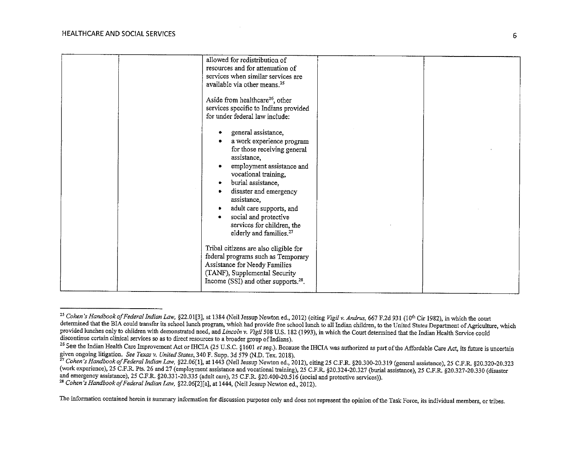| allowed for redistribution of<br>resources and for attenuation of<br>services when similar services are<br>available via other means. <sup>25</sup><br>Aside from healthcare <sup>26</sup> , other<br>for under federal law include:<br>assistance,<br>burial assistance,<br>$\bullet$<br>assistance,<br>$\bullet$ | services specific to Indians provided<br>general assistance,<br>a work experience program<br>for those receiving general<br>employment assistance and<br>vocational training,<br>disaster and emergency<br>adult care supports, and |
|--------------------------------------------------------------------------------------------------------------------------------------------------------------------------------------------------------------------------------------------------------------------------------------------------------------------|-------------------------------------------------------------------------------------------------------------------------------------------------------------------------------------------------------------------------------------|
|                                                                                                                                                                                                                                                                                                                    | social and protective<br>services for children, the<br>elderly and families. <sup>27</sup>                                                                                                                                          |
| Tribal citizens are also eligible for<br>Assistance for Needy Families<br>(TANF), Supplemental Security<br>Income (SSI) and other supports. <sup>28</sup> .                                                                                                                                                        | federal programs such as Temporary                                                                                                                                                                                                  |

<sup>&</sup>lt;sup>25</sup> Cohen's Handbook of Federal Indian Law, §22.01[3], at 1384 (Neil Jessup Newton ed., 2012) (citing Vigil v. Andrus, 667 F.2d 931 (10<sup>th</sup> Cir 1982), in which the court **determined that the BIA could transfer its school lunch program, which had provide free school lunch to all Indian children, to the United States Department of Agriculture, which**  provided lunches only to children with demonstrated need, and *Lincoln v. Vigil* 508 U.S. 182 (1993), in which the Court determined that the Indian Health Service could discontinue certain clinical services so as to direct

<sup>&</sup>lt;sup>26</sup> See the Indian Health Care Improvement Act or IHCIA (25 U.S.C. §1601 et seq.). Because the IHCIA was authorized as part of the Affordable Care Act, its future is uncertain given ongoing litigation. See Texas v. United

<sup>&</sup>lt;sup>27</sup> Cohen's Handbook of Federal Indian Law, §22.06[1], at 1443 (Neil Jessup Newton ed., 2012), citing 25 C.F.R. §20.300-20.319 (general assistance), 25 C.F.R. §20.320-20.323 (work experience), 25 C.F.R. Pts. 26 and 27 (employment assistance and vocational training), 25 C.F.R. §20.324-20.327 (burial assistance), 25 C.F.R. §20.327-20.330 (disaster and emergency assistance), 25 C.F.R. §20.327-20. <sup>28</sup> Cohen's Handbook of Federal Indian Law, §22.06[2][a], at 1444, (Neil Jessup Newton ed., 2012).

**The information contained herein is summary information for discussion purposes only and does not represent the opinion of the Task Force, its individual members, or tribes.**